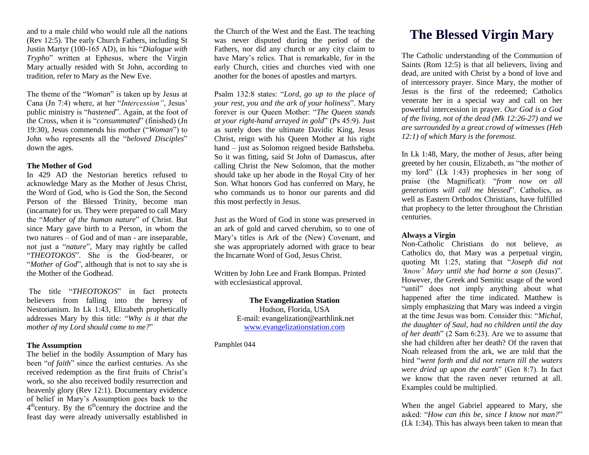and to a male child who would rule all the nations (Rev 12:5). The early Church Fathers, including St Justin Martyr (100-165 AD), in his "*Dialogue with Trypho*" written at Ephesus, where the Virgin Mary actually resided with St John, according to tradition, refer to Mary as the New Eve.

The theme of the "*Woman*" is taken up by Jesus at Cana (Jn 7:4) where, at her "*Intercession"*, Jesus' public ministry is "*hastened*". Again, at the foot of the Cross, when it is "*consummated*" (finished) (Jn 19:30), Jesus commends his mother ("*Woman*") to John who represents all the "*beloved Disciples*" down the ages.

#### **The Mother of God**

In 429 AD the Nestorian heretics refused to acknowledge Mary as the Mother of Jesus Christ, the Word of God, who is God the Son, the Second Person of the Blessed Trinity, become man (incarnate) for us. They were prepared to call Mary the "*Mother of the human nature*" of Christ. But since Mary gave birth to a Person, in whom the two natures – of God and of man - are inseparable, not just a "*nature*", Mary may rightly be called "*THEOTOKOS*". She is the God-bearer, or "*Mother of God*", although that is not to say she is the Mother of the Godhead.

The title "*THEOTOKOS*" in fact protects believers from falling into the heresy of Nestorianism. In Lk 1:43, Elizabeth prophetically addresses Mary by this title: "*Why is it that the mother of my Lord should come to me?*"

## **The Assumption**

The belief in the bodily Assumption of Mary has been "*of faith*" since the earliest centuries. As she received redemption as the first fruits of Christ's work, so she also received bodily resurrection and heavenly glory (Rev 12:1). Documentary evidence of belief in Mary's Assumption goes back to the 4<sup>th</sup>century. By the 6<sup>th</sup>century the doctrine and the feast day were already universally established in

the Church of the West and the East. The teaching was never disputed during the period of the Fathers, nor did any church or any city claim to have Mary's relics. That is remarkable, for in the early Church, cities and churches vied with one another for the bones of apostles and martyrs.

Psalm 132:8 states: "*Lord, go up to the place of your rest, you and the ark of your holiness*". Mary forever is our Queen Mother: "*The Queen stands at your right-hand arrayed in gold*" (Ps 45:9). Just as surely does the ultimate Davidic King, Jesus Christ, reign with his Queen Mother at his right hand – just as Solomon reigned beside Bathsheba. So it was fitting, said St John of Damascus, after calling Christ the New Solomon, that the mother should take up her abode in the Royal City of her Son. What honors God has conferred on Mary, he who commands us to honor our parents and did this most perfectly in Jesus.

Just as the Word of God in stone was preserved in an ark of gold and carved cherubim, so to one of Mary's titles is Ark of the (New) Covenant, and she was appropriately adorned with grace to bear the Incarnate Word of God, Jesus Christ.

Written by John Lee and Frank Bompas. Printed with ecclesiastical approval.

# **The Evangelization Station**

Hudson, Florida, USA E-mail: evangelization@earthlink.net [www.evangelizationstation.com](http://www.pjpiisoe.org/)

Pamphlet 044

# **The Blessed Virgin Mary**

The Catholic understanding of the Communion of Saints (Rom 12:5) is that all believers, living and dead, are united with Christ by a bond of love and of intercessory prayer. Since Mary, the mother of Jesus is the first of the redeemed; Catholics venerate her in a special way and call on her powerful intercession in prayer. *Our God is a God of the living, not of the dead (Mk 12:26-27) and we are surrounded by a great crowd of witnesses (Heb 12:1) of which Mary is the foremost.*

In Lk 1:48, Mary, the mother of Jesus, after being greeted by her cousin, Elizabeth, as "the mother of my lord" (Lk 1:43) prophesies in her song of praise (the Magnificat): "*from now on all generations will call me blessed*". Catholics, as well as Eastern Orthodox Christians, have fulfilled that prophecy to the letter throughout the Christian centuries.

#### **Always a Virgin**

Non-Catholic Christians do not believe, as Catholics do, that Mary was a perpetual virgin, quoting Mt 1:25, stating that "*Joseph did not 'know' Mary until she had borne a son* (Jesus)". However, the Greek and Semitic usage of the word "until" does not imply anything about what happened after the time indicated. Matthew is simply emphasizing that Mary was indeed a virgin at the time Jesus was born. Consider this: "*Michal, the daughter of Saul, had no children until the day of her death*" (2 Sam 6:23). Are we to assume that she had children after her death? Of the raven that Noah released from the ark, we are told that the bird "*went forth and did not return till the waters were dried up upon the earth*" (Gen 8:7). In fact we know that the raven never returned at all. Examples could be multiplied.

When the angel Gabriel appeared to Mary, she asked: "*How can this be, since I know not man?*" (Lk 1:34). This has always been taken to mean that